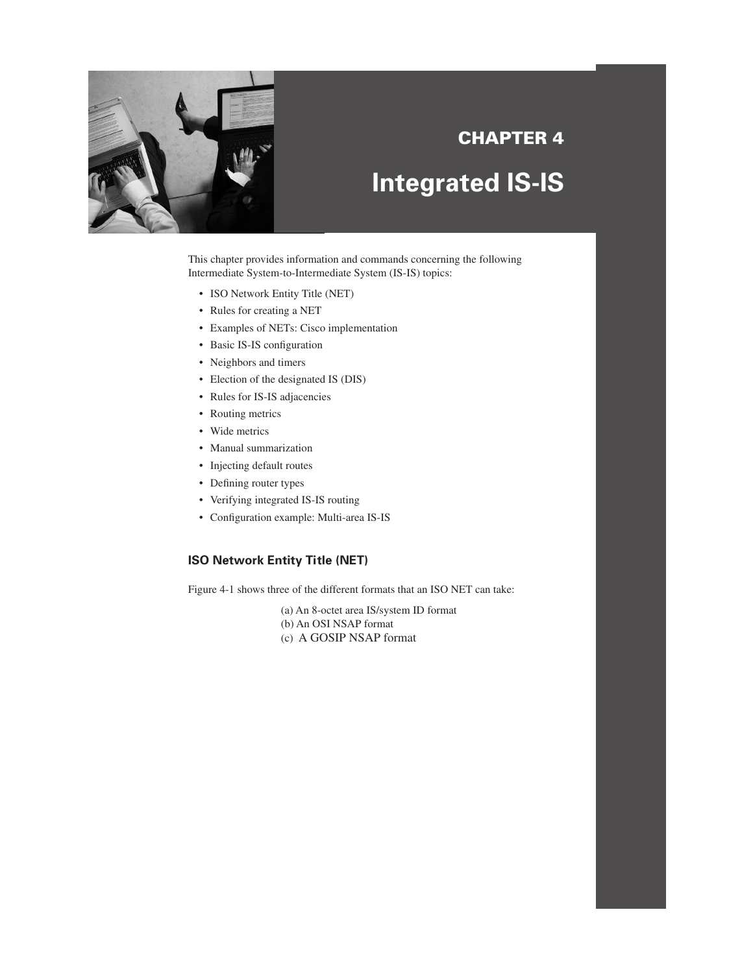

# **CHAPTER 4**

# **Integrated IS-IS**

This chapter provides information and commands concerning the following Intermediate System-to-Intermediate System (IS-IS) topics:

- ISO Network Entity Title (NET)
- Rules for creating a NET
- Examples of NETs: Cisco implementation
- Basic IS-IS configuration
- Neighbors and timers
- Election of the designated IS (DIS)
- Rules for IS-IS adjacencies
- Routing metrics
- Wide metrics
- Manual summarization
- Injecting default routes
- Defining router types
- Verifying integrated IS-IS routing
- Configuration example: Multi-area IS-IS

## **ISO Network Entity Title (NET)**

Figure 4-1 shows three of the different formats that an ISO NET can take:

- (a) An 8-octet area IS/system ID format
- (b) An OSI NSAP format
- (c) A GOSIP NSAP format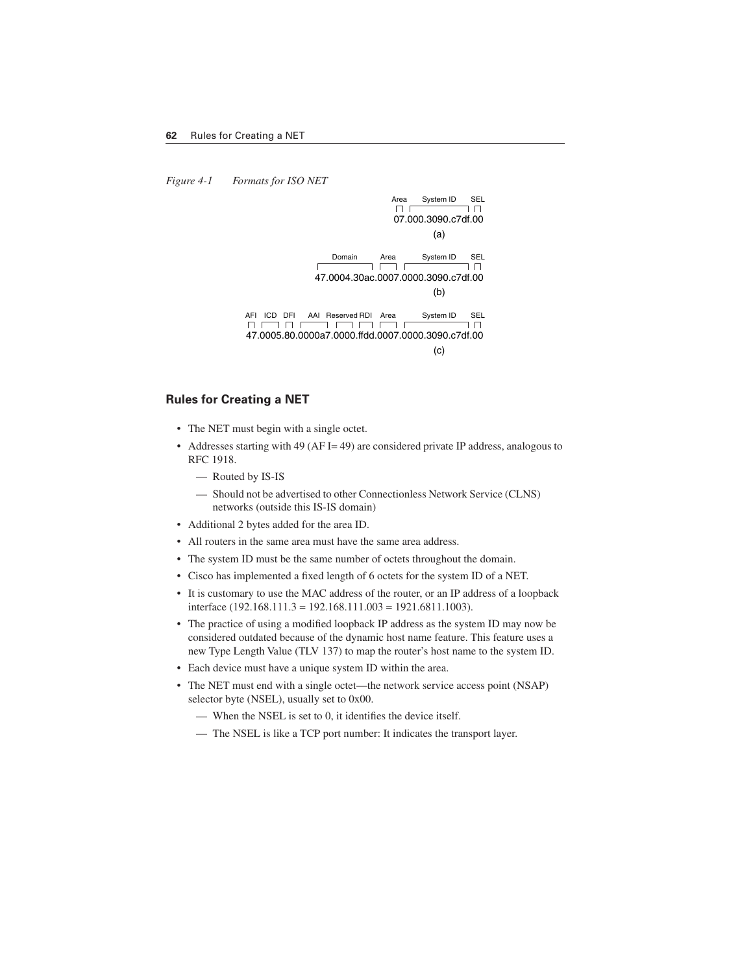*Figure 4-1 Formats for ISO NET*



#### **Rules for Creating a NET**

- The NET must begin with a single octet.
- Addresses starting with 49 (AF I= 49) are considered private IP address, analogous to RFC 1918.
	- Routed by IS-IS
	- Should not be advertised to other Connectionless Network Service (CLNS) networks (outside this IS-IS domain)
- Additional 2 bytes added for the area ID.
- All routers in the same area must have the same area address.
- The system ID must be the same number of octets throughout the domain.
- Cisco has implemented a fixed length of 6 octets for the system ID of a NET.
- It is customary to use the MAC address of the router, or an IP address of a loopback interface (192.168.111.3 = 192.168.111.003 = 1921.6811.1003).
- The practice of using a modified loopback IP address as the system ID may now be considered outdated because of the dynamic host name feature. This feature uses a new Type Length Value (TLV 137) to map the router's host name to the system ID.
- Each device must have a unique system ID within the area.
- The NET must end with a single octet—the network service access point (NSAP) selector byte (NSEL), usually set to 0x00.
	- When the NSEL is set to 0, it identifies the device itself.
	- The NSEL is like a TCP port number: It indicates the transport layer.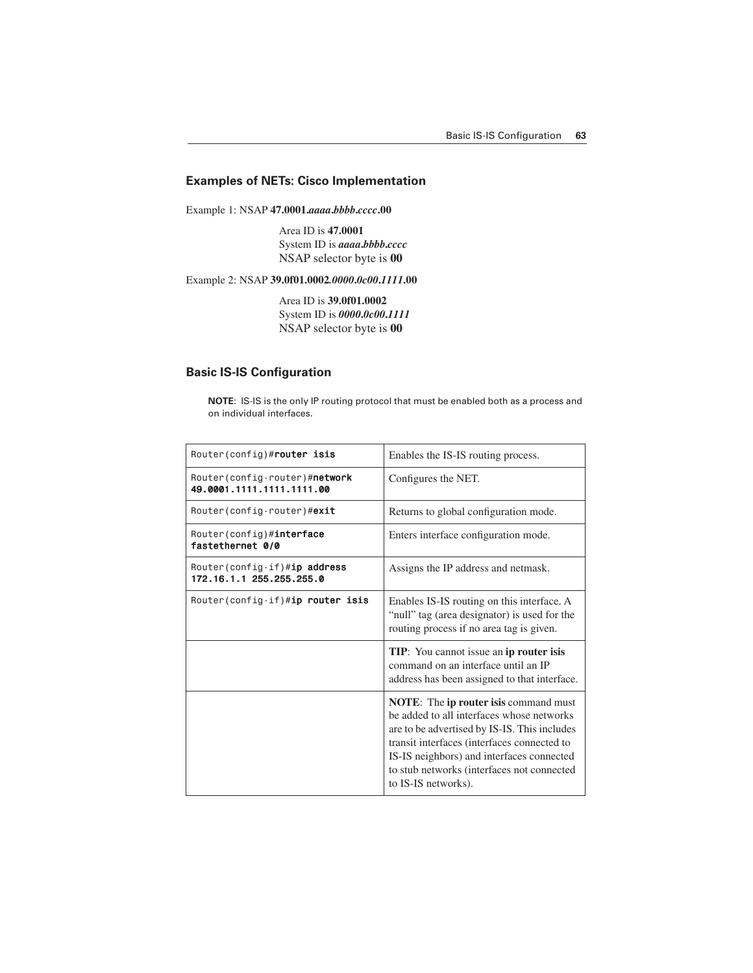#### **Examples of NETs: Cisco Implementation**

Example 1: NSAP **47.0001.***aaaa***.***bbbb***.***cccc***.00**

Area ID is **47.0001** System ID is *aaaa***.***bbbb***.***cccc* NSAP selector byte is **00**

Example 2: NSAP **39.0f01.0002***.0000***.***0c00***.***1111***.00**

Area ID is **39.0f01.0002** System ID is *0000***.***0c00***.***1111* NSAP selector byte is **00**

#### **Basic IS-IS Configuration**

**NOTE**: IS-IS is the only IP routing protocol that must be enabled both as a process and on individual interfaces.

| Router(config)#router isis                                  | Enables the IS-IS routing process.                                                                                                                                                                                                                                                                                 |
|-------------------------------------------------------------|--------------------------------------------------------------------------------------------------------------------------------------------------------------------------------------------------------------------------------------------------------------------------------------------------------------------|
| Router (config-router)#network<br>49.0001.1111.1111.1111.00 | Configures the NET.                                                                                                                                                                                                                                                                                                |
| Router(config-router)# <b>exit</b>                          | Returns to global configuration mode.                                                                                                                                                                                                                                                                              |
| Router(config)#interface<br>fastethernet 0/0                | Enters interface configuration mode.                                                                                                                                                                                                                                                                               |
| Router(config-if)#ip address<br>172.16.1.1 255.255.255.0    | Assigns the IP address and netmask.                                                                                                                                                                                                                                                                                |
| Router(config-if)#ip router isis                            | Enables IS-IS routing on this interface. A<br>"null" tag (area designator) is used for the<br>routing process if no area tag is given.                                                                                                                                                                             |
|                                                             | <b>TIP:</b> You cannot issue an <b>ip router isis</b><br>command on an interface until an IP<br>address has been assigned to that interface.                                                                                                                                                                       |
|                                                             | <b>NOTE:</b> The <b>ip router is is command must</b><br>be added to all interfaces whose networks<br>are to be advertised by IS-IS. This includes<br>transit interfaces (interfaces connected to<br>IS-IS neighbors) and interfaces connected<br>to stub networks (interfaces not connected<br>to IS-IS networks). |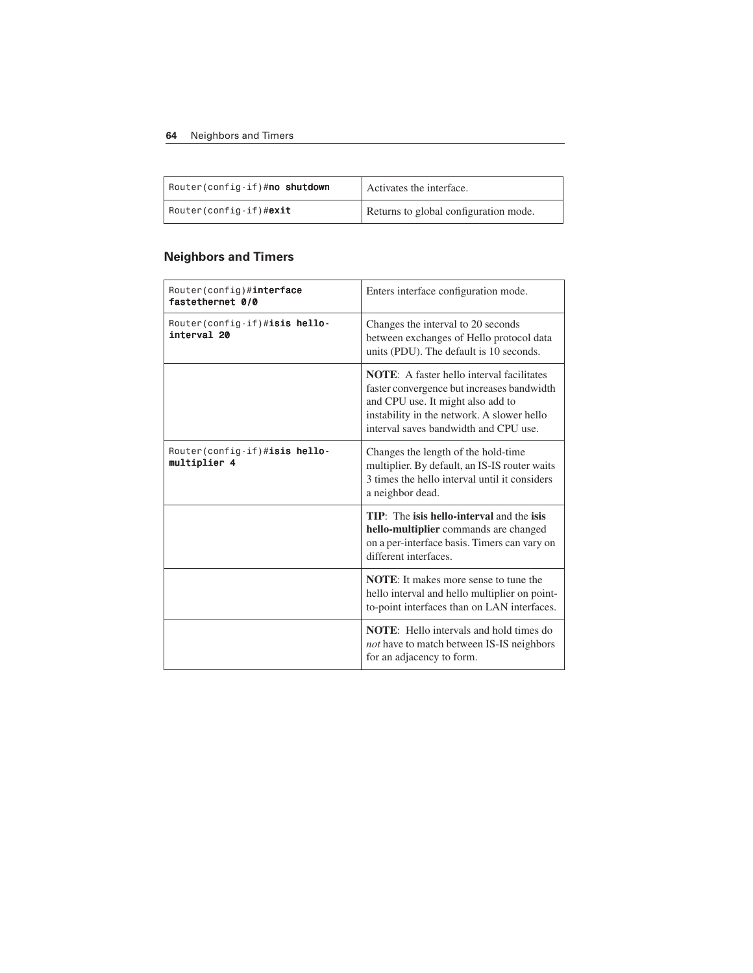#### **64** Neighbors and Timers

| Router(config-if)# <b>no shutdown</b> | Activates the interface.              |
|---------------------------------------|---------------------------------------|
| Router(config-if)# <b>exit</b>        | Returns to global configuration mode. |

# **Neighbors and Timers**

| Router(config)#interface<br>fastethernet 0/0  | Enters interface configuration mode.                                                                                                                                                                                       |
|-----------------------------------------------|----------------------------------------------------------------------------------------------------------------------------------------------------------------------------------------------------------------------------|
| Router(config-if)#isis hello-<br>interval 20  | Changes the interval to 20 seconds<br>between exchanges of Hello protocol data<br>units (PDU). The default is 10 seconds.                                                                                                  |
|                                               | <b>NOTE:</b> A faster hello interval facilitates<br>faster convergence but increases bandwidth<br>and CPU use. It might also add to<br>instability in the network. A slower hello<br>interval saves bandwidth and CPU use. |
| Router(config-if)#isis hello-<br>multiplier 4 | Changes the length of the hold-time<br>multiplier. By default, an IS-IS router waits<br>3 times the hello interval until it considers<br>a neighbor dead.                                                                  |
|                                               | TIP: The isis hello-interval and the isis<br>hello-multiplier commands are changed<br>on a per-interface basis. Timers can vary on<br>different interfaces.                                                                |
|                                               | <b>NOTE:</b> It makes more sense to tune the<br>hello interval and hello multiplier on point-<br>to-point interfaces than on LAN interfaces.                                                                               |
|                                               | <b>NOTE:</b> Hello intervals and hold times do<br>not have to match between IS-IS neighbors<br>for an adjacency to form.                                                                                                   |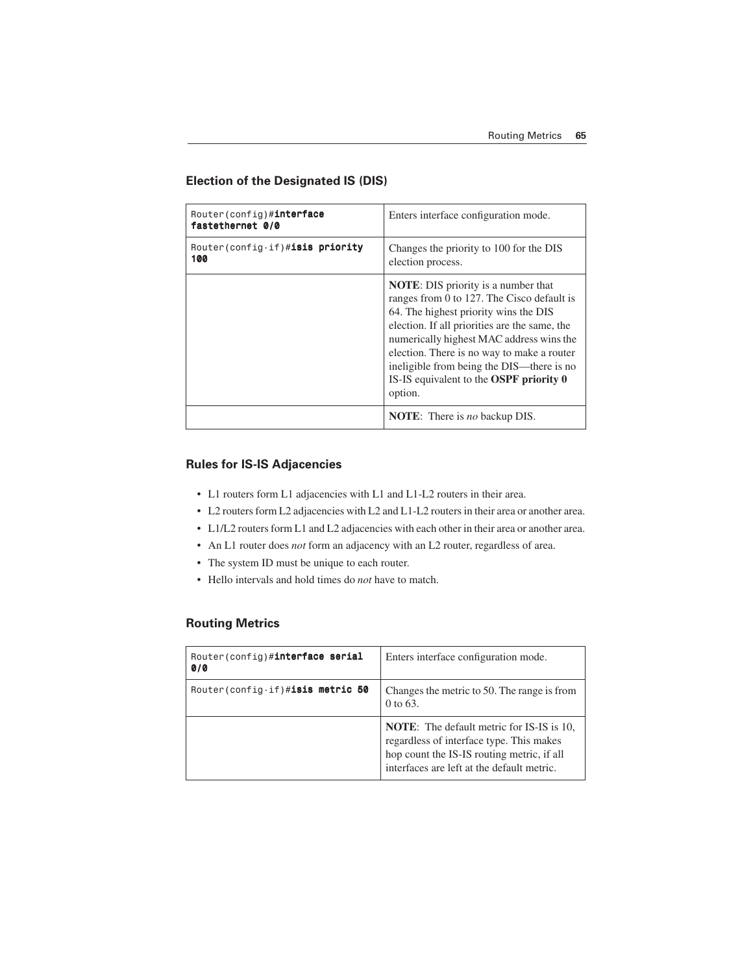#### **Election of the Designated IS (DIS)**

| Router(config)#interface<br>fastethernet 0/0 | Enters interface configuration mode.                                                                                                                                                                                                                                                                                                                                                   |
|----------------------------------------------|----------------------------------------------------------------------------------------------------------------------------------------------------------------------------------------------------------------------------------------------------------------------------------------------------------------------------------------------------------------------------------------|
| Router(config-if)#isis priority<br>100       | Changes the priority to 100 for the DIS<br>election process.                                                                                                                                                                                                                                                                                                                           |
|                                              | <b>NOTE:</b> DIS priority is a number that<br>ranges from 0 to 127. The Cisco default is<br>64. The highest priority wins the DIS<br>election. If all priorities are the same, the<br>numerically highest MAC address wins the<br>election. There is no way to make a router<br>ineligible from being the DIS-there is no<br>IS-IS equivalent to the <b>OSPF</b> priority 0<br>option. |
|                                              | <b>NOTE:</b> There is <i>no</i> backup DIS.                                                                                                                                                                                                                                                                                                                                            |

#### **Rules for IS-IS Adjacencies**

- L1 routers form L1 adjacencies with L1 and L1-L2 routers in their area.
- L2 routers form L2 adjacencies with L2 and L1-L2 routers in their area or another area.
- L1/L2 routers form L1 and L2 adjacencies with each other in their area or another area.
- An L1 router does *not* form an adjacency with an L2 router, regardless of area.
- The system ID must be unique to each router.
- Hello intervals and hold times do *not* have to match.

#### **Routing Metrics**

| Router(config)#interface serial<br>0/0 | Enters interface configuration mode.                                                                                                                                                     |
|----------------------------------------|------------------------------------------------------------------------------------------------------------------------------------------------------------------------------------------|
| Router(config-if)#isis metric 50       | Changes the metric to 50. The range is from<br>0 to 63.                                                                                                                                  |
|                                        | <b>NOTE:</b> The default metric for IS-IS is 10,<br>regardless of interface type. This makes<br>hop count the IS-IS routing metric, if all<br>interfaces are left at the default metric. |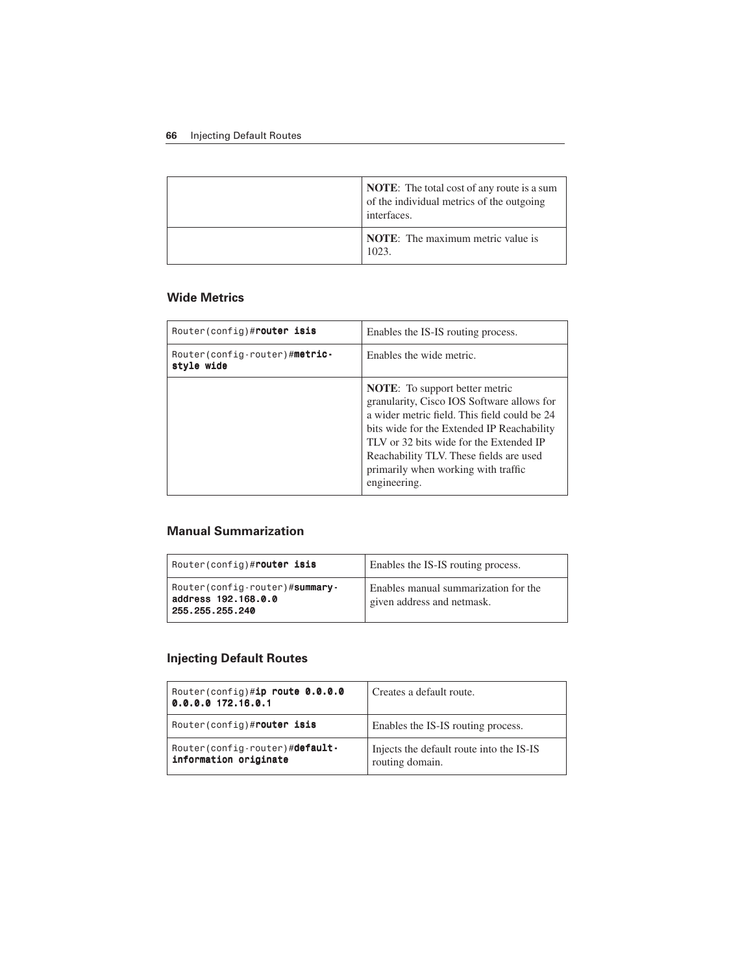#### **66** Injecting Default Routes

| <b>NOTE:</b> The total cost of any route is a sum<br>of the individual metrics of the outgoing<br>interfaces. |
|---------------------------------------------------------------------------------------------------------------|
| <b>NOTE:</b> The maximum metric value is<br>1023.                                                             |

#### **Wide Metrics**

| Router(config)# <b>router isis</b>           | Enables the IS-IS routing process.                                                                                                                                                                                                                                                                                             |
|----------------------------------------------|--------------------------------------------------------------------------------------------------------------------------------------------------------------------------------------------------------------------------------------------------------------------------------------------------------------------------------|
| Router (config-router)#metric-<br>style wide | Enables the wide metric.                                                                                                                                                                                                                                                                                                       |
|                                              | <b>NOTE:</b> To support better metric<br>granularity, Cisco IOS Software allows for<br>a wider metric field. This field could be 24<br>bits wide for the Extended IP Reachability<br>TLV or 32 bits wide for the Extended IP<br>Reachability TLV. These fields are used<br>primarily when working with traffic<br>engineering. |

#### **Manual Summarization**

| Router(config)# <b>router isis</b>                                        | Enables the IS-IS routing process.                                 |
|---------------------------------------------------------------------------|--------------------------------------------------------------------|
| Router (config-router)#summary-<br>address 192.168.0.0<br>255.255.255.240 | Enables manual summarization for the<br>given address and netmask. |

# **Injecting Default Routes**

| Router(config)#ip route $0.0.0.0$<br>0.0.0.0 172.16.0.1  | Creates a default route.                                    |
|----------------------------------------------------------|-------------------------------------------------------------|
| Router(config)# <b>router isis</b>                       | Enables the IS-IS routing process.                          |
| Router (config-router)#default-<br>information originate | Injects the default route into the IS-IS<br>routing domain. |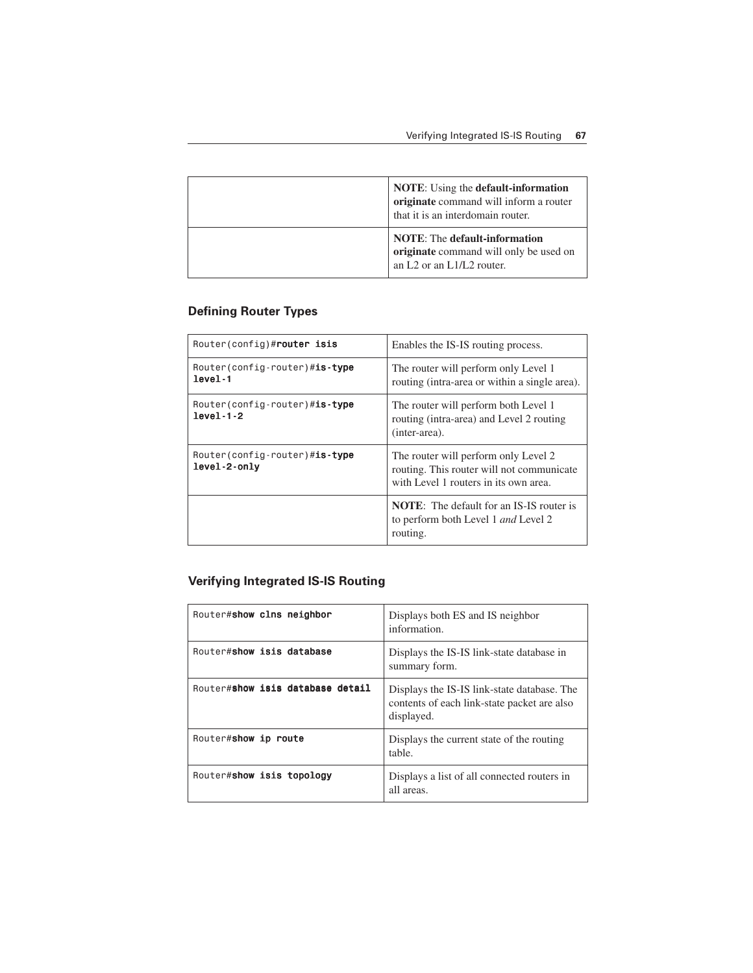| <b>NOTE:</b> Using the <b>default-information</b><br>originate command will inform a router<br>that it is an interdomain router.                 |
|--------------------------------------------------------------------------------------------------------------------------------------------------|
| <b>NOTE:</b> The default-information<br>originate command will only be used on<br>an L <sub>2</sub> or an L <sub>1</sub> /L <sub>2</sub> router. |

# **Defining Router Types**

| Router(config)# <b>router isis</b>                    | Enables the IS-IS routing process.                                                                                         |
|-------------------------------------------------------|----------------------------------------------------------------------------------------------------------------------------|
| Router(config-router)#is-type<br>level-1              | The router will perform only Level 1<br>routing (intra-area or within a single area).                                      |
| Router(config-router)#is-type<br>$level-1-2$          | The router will perform both Level 1<br>routing (intra-area) and Level 2 routing<br>(inter-area).                          |
| Router(config-router)# <b>is-type</b><br>level-2-only | The router will perform only Level 2<br>routing. This router will not communicate<br>with Level 1 routers in its own area. |
|                                                       | <b>NOTE:</b> The default for an IS-IS router is<br>to perform both Level 1 and Level 2<br>routing.                         |

## **Verifying Integrated IS-IS Routing**

| Router#show clns neighbor        | Displays both ES and IS neighbor<br>information.                                                         |
|----------------------------------|----------------------------------------------------------------------------------------------------------|
| Router#show isis database        | Displays the IS-IS link-state database in<br>summary form.                                               |
| Router#show isis database detail | Displays the IS-IS link-state database. The<br>contents of each link-state packet are also<br>displayed. |
| Router#show ip route             | Displays the current state of the routing<br>table.                                                      |
| Router#show isis topology        | Displays a list of all connected routers in<br>all areas.                                                |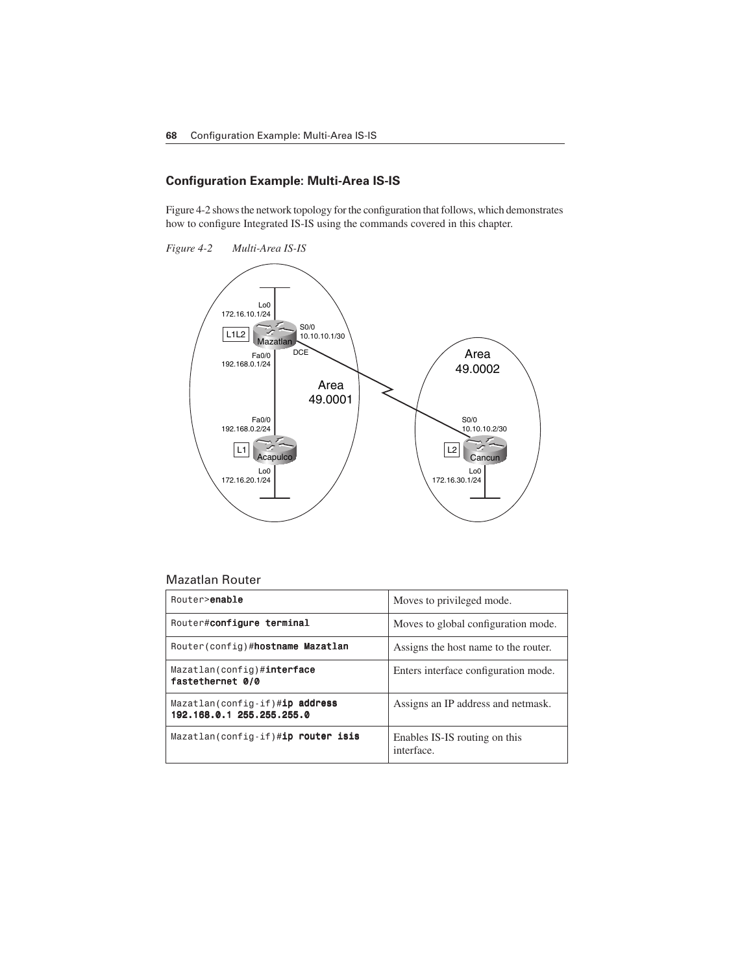#### **Configuration Example: Multi-Area IS-IS**

Figure 4-2 shows the network topology for the configuration that follows, which demonstrates how to configure Integrated IS-IS using the commands covered in this chapter.





#### Mazatlan Router

| Router>enable                                                  | Moves to privileged mode.                   |
|----------------------------------------------------------------|---------------------------------------------|
| Router#configure terminal                                      | Moves to global configuration mode.         |
| Router (config)#hostname Mazatlan                              | Assigns the host name to the router.        |
| Mazatlan(config)# <b>interface</b><br>fastethernet 0/0         | Enters interface configuration mode.        |
| $Maxatlan(config-if)\#ip address$<br>192.168.0.1 255.255.255.0 | Assigns an IP address and netmask.          |
| Mazatlan(config-if)#ip router isis                             | Enables IS-IS routing on this<br>interface. |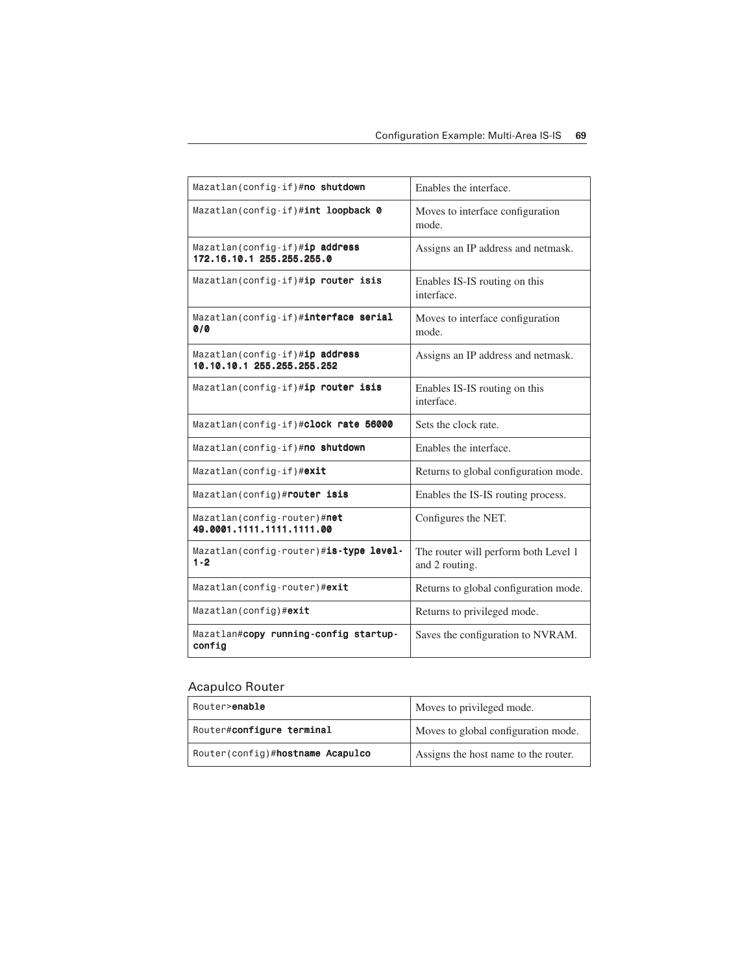| Mazatlan (config-if)#no shutdown                                    | Enables the interface.                                 |
|---------------------------------------------------------------------|--------------------------------------------------------|
| Mazatlan(config-if)#int loopback 0                                  | Moves to interface configuration<br>mode.              |
| Mazatlan(config-if)# <b>ip address</b><br>172.16.10.1 255.255.255.0 | Assigns an IP address and netmask.                     |
| Mazatlan(config-if)#ip router isis                                  | Enables IS-IS routing on this<br>interface.            |
| Mazatlan(config-if)#interface serial<br>0/0                         | Moves to interface configuration<br>mode.              |
| Mazatlan (config-if)#ip address<br>10.10.10.1 255.255.255.252       | Assigns an IP address and netmask.                     |
| Mazatlan(config-if)#ip router isis                                  | Enables IS-IS routing on this<br>interface.            |
| Mazatlan(config-if)#clock rate 56000                                | Sets the clock rate.                                   |
| Mazatlan (config-if)#no shutdown                                    | Enables the interface.                                 |
| Mazatlan(config-if)#exit                                            | Returns to global configuration mode.                  |
| Mazatlan(config)#router isis                                        | Enables the IS-IS routing process.                     |
| Mazatlan (config-router)#net<br>49.0001.1111.1111.1111.00           | Configures the NET.                                    |
| Mazatlan(config-router)#is-type level-<br>$1 - 2$                   | The router will perform both Level 1<br>and 2 routing. |
| Mazatlan (config-router)#exit                                       | Returns to global configuration mode.                  |
| Mazatlan(config)#exit                                               | Returns to privileged mode.                            |
| Mazatlan#copy running-config startup-<br>config                     | Saves the configuration to NVRAM.                      |

# Acapulco Router

| Router> <b>enable</b>            | Moves to privileged mode.            |
|----------------------------------|--------------------------------------|
| Router#configure terminal        | Moves to global configuration mode.  |
| Router(config)#hostname Acapulco | Assigns the host name to the router. |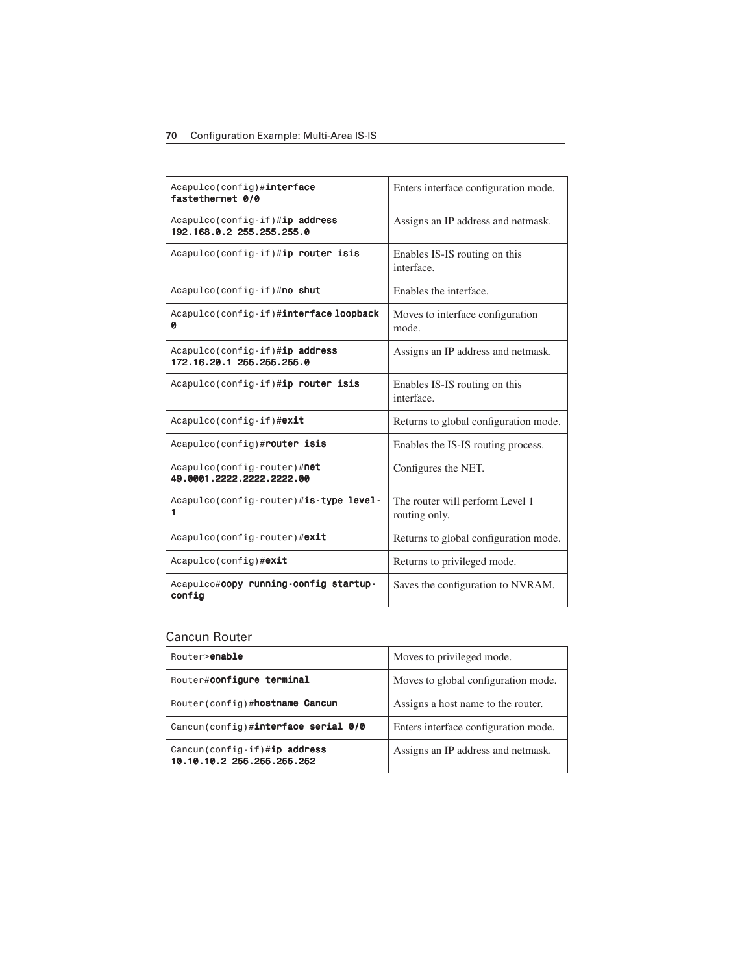#### **70** Configuration Example: Multi-Area IS-IS

| Acapulco(config)#interface<br>fastethernet 0/0              | Enters interface configuration mode.             |
|-------------------------------------------------------------|--------------------------------------------------|
| Acapulco(config-if)#ip address<br>192.168.0.2 255.255.255.0 | Assigns an IP address and netmask.               |
| Acapulco(config-if)#ip router isis                          | Enables IS-IS routing on this<br>interface.      |
| Acapulco(config-if)#no shut                                 | Enables the interface.                           |
| Acapulco(config-if)# <b>interface loopback</b><br>Ø         | Moves to interface configuration<br>mode.        |
| Acapulco(config-if)#ip address<br>172.16.20.1 255.255.255.0 | Assigns an IP address and netmask.               |
| Acapulco(config-if)#ip router isis                          | Enables IS-IS routing on this<br>interface.      |
| Acapulco(config-if)#exit                                    | Returns to global configuration mode.            |
| Acapulco(config)#router isis                                | Enables the IS-IS routing process.               |
| Acapulco(config-router)#net<br>49.0001.2222.2222.2222.00    | Configures the NET.                              |
| Acapulco(config-router)#is-type level-<br>1                 | The router will perform Level 1<br>routing only. |
| Acapulco(config-router)#exit                                | Returns to global configuration mode.            |
| Acapulco(config)#exit                                       | Returns to privileged mode.                      |
| Acapulco#copy running-config startup-<br>config             | Saves the configuration to NVRAM.                |

#### Cancun Router

| Router> <b>enable</b>                                      | Moves to privileged mode.            |
|------------------------------------------------------------|--------------------------------------|
| Router#configure terminal                                  | Moves to global configuration mode.  |
| Router (config)#hostname Cancun                            | Assigns a host name to the router.   |
| Cancun(config)#interface serial 0/0                        | Enters interface configuration mode. |
| Cancun(config-if)#ip address<br>10.10.10.2 255.255.255.252 | Assigns an IP address and netmask.   |